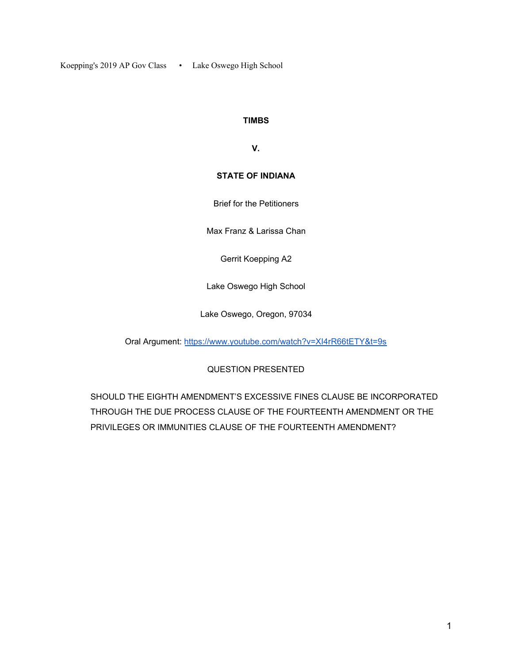Koepping's 2019 AP Gov Class • Lake Oswego High School

#### **TIMBS**

**V.**

### **STATE OF INDIANA**

Brief for the Petitioners

Max Franz & Larissa Chan

Gerrit Koepping A2

Lake Oswego High School

Lake Oswego, Oregon, 97034

Oral Argument: <https://www.youtube.com/watch?v=XI4rR66tETY&t=9s>

## QUESTION PRESENTED

SHOULD THE EIGHTH AMENDMENT'S EXCESSIVE FINES CLAUSE BE INCORPORATED THROUGH THE DUE PROCESS CLAUSE OF THE FOURTEENTH AMENDMENT OR THE PRIVILEGES OR IMMUNITIES CLAUSE OF THE FOURTEENTH AMENDMENT?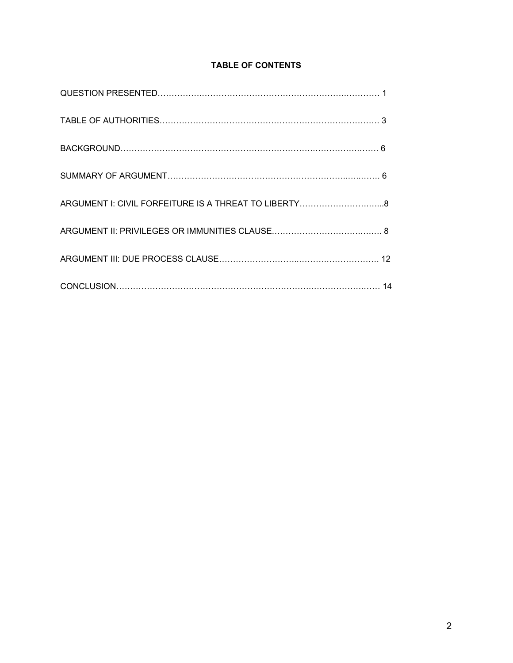## **TABLE OF CONTENTS**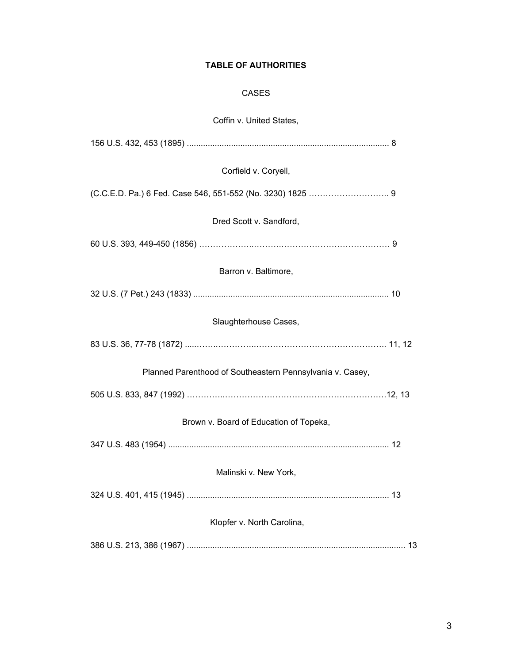## **TABLE OF AUTHORITIES**

## CASES

# Coffin v. United States,

| Corfield v. Coryell,                                      |
|-----------------------------------------------------------|
|                                                           |
| Dred Scott v. Sandford,                                   |
|                                                           |
| Barron v. Baltimore,                                      |
|                                                           |
| Slaughterhouse Cases,                                     |
|                                                           |
| Planned Parenthood of Southeastern Pennsylvania v. Casey, |
|                                                           |
| Brown v. Board of Education of Topeka,                    |
|                                                           |
| Malinski v. New York,                                     |
|                                                           |
| Klopfer v. North Carolina,                                |
|                                                           |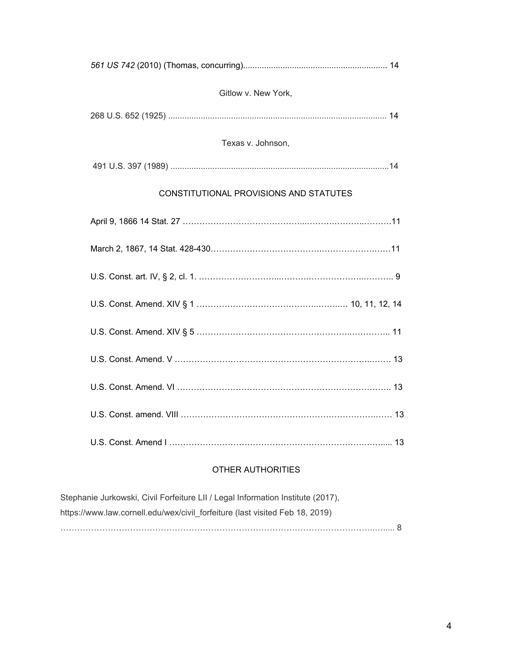| Gitlow v. New York,                    |
|----------------------------------------|
|                                        |
| Texas v. Johnson,                      |
|                                        |
| CONSTITUTIONAL PROVISIONS AND STATUTES |
|                                        |
|                                        |
|                                        |
|                                        |
|                                        |
|                                        |
|                                        |
|                                        |
|                                        |

# OTHER AUTHORITIES

| Stephanie Jurkowski, Civil Forfeiture LII / Legal Information Institute (2017), |  |
|---------------------------------------------------------------------------------|--|
| https://www.law.cornell.edu/wex/civil forfeiture (last visited Feb 18, 2019)    |  |
|                                                                                 |  |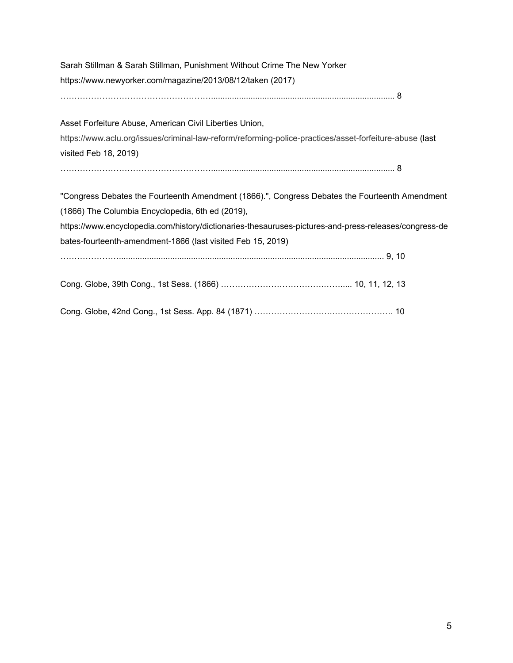| Sarah Stillman & Sarah Stillman, Punishment Without Crime The New Yorker                                |
|---------------------------------------------------------------------------------------------------------|
| https://www.newyorker.com/magazine/2013/08/12/taken (2017)                                              |
|                                                                                                         |
| Asset Forfeiture Abuse, American Civil Liberties Union,                                                 |
| https://www.aclu.org/issues/criminal-law-reform/reforming-police-practices/asset-forfeiture-abuse (last |
| visited Feb 18, 2019)                                                                                   |
|                                                                                                         |
| "Congress Debates the Fourteenth Amendment (1866).", Congress Debates the Fourteenth Amendment          |
| (1866) The Columbia Encyclopedia, 6th ed (2019),                                                        |
| https://www.encyclopedia.com/history/dictionaries-thesauruses-pictures-and-press-releases/congress-de   |
| bates-fourteenth-amendment-1866 (last visited Feb 15, 2019)                                             |
|                                                                                                         |
|                                                                                                         |
|                                                                                                         |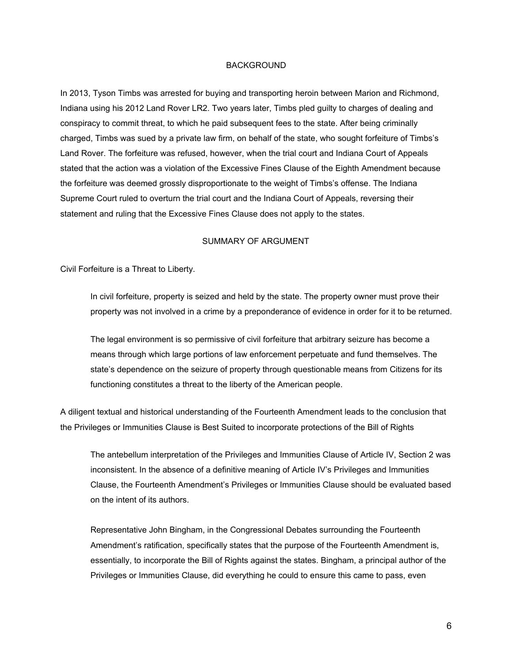#### BACKGROUND

In 2013, Tyson Timbs was arrested for buying and transporting heroin between Marion and Richmond, Indiana using his 2012 Land Rover LR2. Two years later, Timbs pled guilty to charges of dealing and conspiracy to commit threat, to which he paid subsequent fees to the state. After being criminally charged, Timbs was sued by a private law firm, on behalf of the state, who sought forfeiture of Timbs's Land Rover. The forfeiture was refused, however, when the trial court and Indiana Court of Appeals stated that the action was a violation of the Excessive Fines Clause of the Eighth Amendment because the forfeiture was deemed grossly disproportionate to the weight of Timbs's offense. The Indiana Supreme Court ruled to overturn the trial court and the Indiana Court of Appeals, reversing their statement and ruling that the Excessive Fines Clause does not apply to the states.

#### SUMMARY OF ARGUMENT

Civil Forfeiture is a Threat to Liberty.

In civil forfeiture, property is seized and held by the state. The property owner must prove their property was not involved in a crime by a preponderance of evidence in order for it to be returned.

The legal environment is so permissive of civil forfeiture that arbitrary seizure has become a means through which large portions of law enforcement perpetuate and fund themselves. The state's dependence on the seizure of property through questionable means from Citizens for its functioning constitutes a threat to the liberty of the American people.

A diligent textual and historical understanding of the Fourteenth Amendment leads to the conclusion that the Privileges or Immunities Clause is Best Suited to incorporate protections of the Bill of Rights

The antebellum interpretation of the Privileges and Immunities Clause of Article IV, Section 2 was inconsistent. In the absence of a definitive meaning of Article IV's Privileges and Immunities Clause, the Fourteenth Amendment's Privileges or Immunities Clause should be evaluated based on the intent of its authors.

Representative John Bingham, in the Congressional Debates surrounding the Fourteenth Amendment's ratification, specifically states that the purpose of the Fourteenth Amendment is, essentially, to incorporate the Bill of Rights against the states. Bingham, a principal author of the Privileges or Immunities Clause, did everything he could to ensure this came to pass, even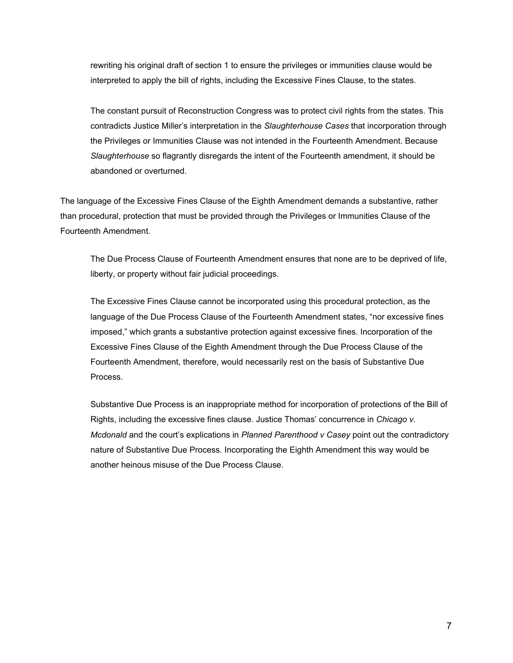rewriting his original draft of section 1 to ensure the privileges or immunities clause would be interpreted to apply the bill of rights, including the Excessive Fines Clause, to the states.

The constant pursuit of Reconstruction Congress was to protect civil rights from the states. This contradicts Justice Miller's interpretation in the *Slaughterhouse Cases* that incorporation through the Privileges or Immunities Clause was not intended in the Fourteenth Amendment. Because *Slaughterhouse* so flagrantly disregards the intent of the Fourteenth amendment, it should be abandoned or overturned.

The language of the Excessive Fines Clause of the Eighth Amendment demands a substantive, rather than procedural, protection that must be provided through the Privileges or Immunities Clause of the Fourteenth Amendment.

The Due Process Clause of Fourteenth Amendment ensures that none are to be deprived of life, liberty, or property without fair judicial proceedings.

The Excessive Fines Clause cannot be incorporated using this procedural protection, as the language of the Due Process Clause of the Fourteenth Amendment states, "nor excessive fines imposed," which grants a substantive protection against excessive fines. Incorporation of the Excessive Fines Clause of the Eighth Amendment through the Due Process Clause of the Fourteenth Amendment, therefore, would necessarily rest on the basis of Substantive Due Process.

Substantive Due Process is an inappropriate method for incorporation of protections of the Bill of Rights, including the excessive fines clause. Justice Thomas' concurrence in *Chicago v. Mcdonald* and the court's explications in *Planned Parenthood v Casey* point out the contradictory nature of Substantive Due Process*.* Incorporating the Eighth Amendment this way would be another heinous misuse of the Due Process Clause.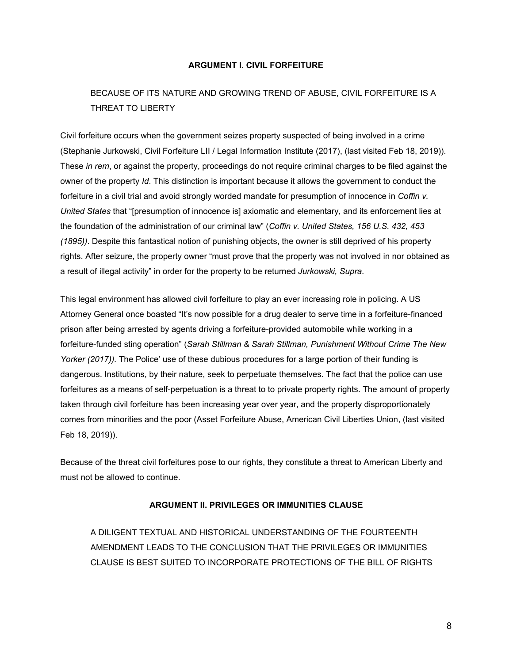#### **ARGUMENT I. CIVIL FORFEITURE**

# BECAUSE OF ITS NATURE AND GROWING TREND OF ABUSE, CIVIL FORFEITURE IS A THREAT TO LIBERTY

Civil forfeiture occurs when the government seizes property suspected of being involved in a crime (Stephanie Jurkowski, Civil Forfeiture LII / Legal Information Institute (2017), (last visited Feb 18, 2019)). These *in rem*, or against the property, proceedings do not require criminal charges to be filed against the owner of the property *Id*. This distinction is important because it allows the government to conduct the forfeiture in a civil trial and avoid strongly worded mandate for presumption of innocence in *Coffin v. United States* that "[presumption of innocence is] axiomatic and elementary, and its enforcement lies at the foundation of the administration of our criminal law" (*Coffin v. United States, 156 U.S. 432, 453 (1895))*. Despite this fantastical notion of punishing objects, the owner is still deprived of his property rights. After seizure, the property owner "must prove that the property was not involved in nor obtained as a result of illegal activity" in order for the property to be returned *Jurkowski, Supra*.

This legal environment has allowed civil forfeiture to play an ever increasing role in policing. A US Attorney General once boasted "It's now possible for a drug dealer to serve time in a forfeiture-financed prison after being arrested by agents driving a forfeiture-provided automobile while working in a forfeiture-funded sting operation" (*Sarah Stillman & Sarah Stillman, Punishment Without Crime The New Yorker (2017)).* The Police' use of these dubious procedures for a large portion of their funding is dangerous. Institutions, by their nature, seek to perpetuate themselves. The fact that the police can use forfeitures as a means of self-perpetuation is a threat to to private property rights. The amount of property taken through civil forfeiture has been increasing year over year, and the property disproportionately comes from minorities and the poor (Asset Forfeiture Abuse, American Civil Liberties Union, (last visited Feb 18, 2019)).

Because of the threat civil forfeitures pose to our rights, they constitute a threat to American Liberty and must not be allowed to continue.

#### **ARGUMENT II. PRIVILEGES OR IMMUNITIES CLAUSE**

A DILIGENT TEXTUAL AND HISTORICAL UNDERSTANDING OF THE FOURTEENTH AMENDMENT LEADS TO THE CONCLUSION THAT THE PRIVILEGES OR IMMUNITIES CLAUSE IS BEST SUITED TO INCORPORATE PROTECTIONS OF THE BILL OF RIGHTS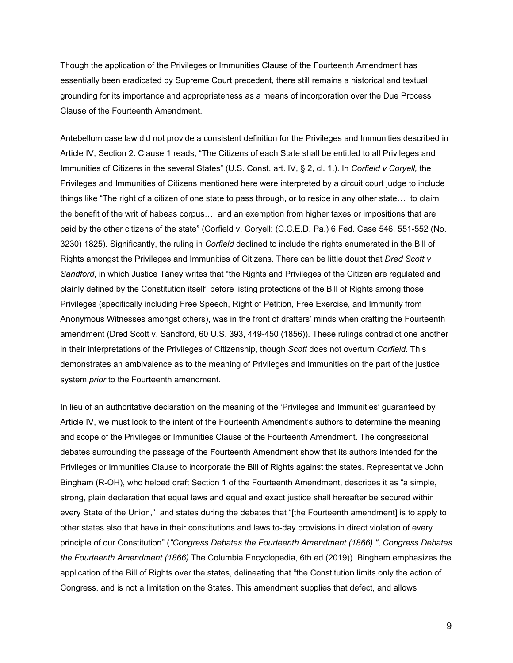Though the application of the Privileges or Immunities Clause of the Fourteenth Amendment has essentially been eradicated by Supreme Court precedent, there still remains a historical and textual grounding for its importance and appropriateness as a means of incorporation over the Due Process Clause of the Fourteenth Amendment.

Antebellum case law did not provide a consistent definition for the Privileges and Immunities described in Article IV, Section 2. Clause 1 reads, "The Citizens of each State shall be entitled to all Privileges and Immunities of Citizens in the several States" (U.S. Const. art. IV, § 2, cl. 1.). In *Corfield v Coryell,* the Privileges and Immunities of Citizens mentioned here were interpreted by a circuit court judge to include things like "The right of a citizen of one state to pass through, or to reside in any other state… to claim the benefit of the writ of habeas corpus… and an exemption from higher taxes or impositions that are paid by the other citizens of the state" (Corfield v. Coryell: (C.C.E.D. Pa.) 6 Fed. Case 546, 551-552 (No. 3230) 1825). Significantly, the ruling in *Corfield* declined to include the rights enumerated in the Bill of Rights amongst the Privileges and Immunities of Citizens. There can be little doubt that *Dred Scott v Sandford*, in which Justice Taney writes that "the Rights and Privileges of the Citizen are regulated and plainly defined by the Constitution itself" before listing protections of the Bill of Rights among those Privileges (specifically including Free Speech, Right of Petition, Free Exercise, and Immunity from Anonymous Witnesses amongst others), was in the front of drafters' minds when crafting the Fourteenth amendment (Dred Scott v. Sandford, 60 U.S. 393, 449-450 (1856)). These rulings contradict one another in their interpretations of the Privileges of Citizenship, though *Scott* does not overturn *Corfield.* This demonstrates an ambivalence as to the meaning of Privileges and Immunities on the part of the justice system *prior* to the Fourteenth amendment.

In lieu of an authoritative declaration on the meaning of the 'Privileges and Immunities' guaranteed by Article IV, we must look to the intent of the Fourteenth Amendment's authors to determine the meaning and scope of the Privileges or Immunities Clause of the Fourteenth Amendment. The congressional debates surrounding the passage of the Fourteenth Amendment show that its authors intended for the Privileges or Immunities Clause to incorporate the Bill of Rights against the states. Representative John Bingham (R-OH), who helped draft Section 1 of the Fourteenth Amendment, describes it as "a simple, strong, plain declaration that equal laws and equal and exact justice shall hereafter be secured within every State of the Union," and states during the debates that "[the Fourteenth amendment] is to apply to other states also that have in their constitutions and laws to-day provisions in direct violation of every principle of our Constitution" (*"Congress Debates the Fourteenth Amendment (1866)."*, *Congress Debates the Fourteenth Amendment (1866)* The Columbia Encyclopedia, 6th ed (2019)). Bingham emphasizes the application of the Bill of Rights over the states, delineating that "the Constitution limits only the action of Congress, and is not a limitation on the States. This amendment supplies that defect, and allows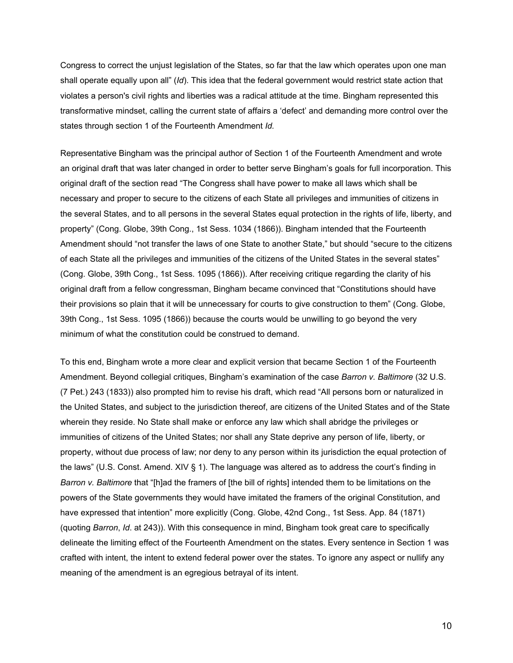Congress to correct the unjust legislation of the States, so far that the law which operates upon one man shall operate equally upon all" (*Id*). This idea that the federal government would restrict state action that violates a person's civil rights and liberties was a radical attitude at the time. Bingham represented this transformative mindset, calling the current state of affairs a 'defect' and demanding more control over the states through section 1 of the Fourteenth Amendment *Id.*

Representative Bingham was the principal author of Section 1 of the Fourteenth Amendment and wrote an original draft that was later changed in order to better serve Bingham's goals for full incorporation. This original draft of the section read "The Congress shall have power to make all laws which shall be necessary and proper to secure to the citizens of each State all privileges and immunities of citizens in the several States, and to all persons in the several States equal protection in the rights of life, liberty, and property" (Cong. Globe, 39th Cong., 1st Sess. 1034 (1866)). Bingham intended that the Fourteenth Amendment should "not transfer the laws of one State to another State," but should "secure to the citizens of each State all the privileges and immunities of the citizens of the United States in the several states" (Cong. Globe, 39th Cong., 1st Sess. 1095 (1866)). After receiving critique regarding the clarity of his original draft from a fellow congressman, Bingham became convinced that "Constitutions should have their provisions so plain that it will be unnecessary for courts to give construction to them" (Cong. Globe, 39th Cong., 1st Sess. 1095 (1866)) because the courts would be unwilling to go beyond the very minimum of what the constitution could be construed to demand.

To this end, Bingham wrote a more clear and explicit version that became Section 1 of the Fourteenth Amendment. Beyond collegial critiques, Bingham's examination of the case *Barron v. Baltimore* (32 U.S. (7 Pet.) 243 (1833)) also prompted him to revise his draft, which read "All persons born or naturalized in the United States, and subject to the jurisdiction thereof, are citizens of the United States and of the State wherein they reside. No State shall make or enforce any law which shall abridge the privileges or immunities of citizens of the United States; nor shall any State deprive any person of life, liberty, or property, without due process of law; nor deny to any person within its jurisdiction the equal protection of the laws" (U.S. Const. Amend. XIV § 1). The language was altered as to address the court's finding in *Barron v. Baltimore* that "[h]ad the framers of [the bill of rights] intended them to be limitations on the powers of the State governments they would have imitated the framers of the original Constitution, and have expressed that intention" more explicitly (Cong. Globe, 42nd Cong., 1st Sess. App. 84 (1871) (quoting *Barron*, *Id*. at 243)). With this consequence in mind, Bingham took great care to specifically delineate the limiting effect of the Fourteenth Amendment on the states. Every sentence in Section 1 was crafted with intent, the intent to extend federal power over the states. To ignore any aspect or nullify any meaning of the amendment is an egregious betrayal of its intent.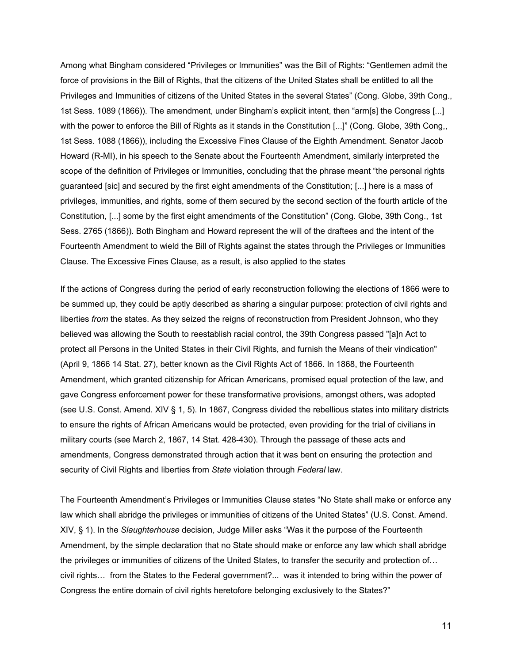Among what Bingham considered "Privileges or Immunities" was the Bill of Rights: "Gentlemen admit the force of provisions in the Bill of Rights, that the citizens of the United States shall be entitled to all the Privileges and Immunities of citizens of the United States in the several States" (Cong. Globe, 39th Cong., 1st Sess. 1089 (1866)). The amendment, under Bingham's explicit intent, then "arm[s] the Congress [...] with the power to enforce the Bill of Rights as it stands in the Constitution [...]" (Cong. Globe, 39th Cong,, 1st Sess. 1088 (1866)), including the Excessive Fines Clause of the Eighth Amendment. Senator Jacob Howard (R-MI), in his speech to the Senate about the Fourteenth Amendment, similarly interpreted the scope of the definition of Privileges or Immunities, concluding that the phrase meant "the personal rights guaranteed [sic] and secured by the first eight amendments of the Constitution; [...] here is a mass of privileges, immunities, and rights, some of them secured by the second section of the fourth article of the Constitution, [...] some by the first eight amendments of the Constitution" (Cong. Globe, 39th Cong., 1st Sess. 2765 (1866)). Both Bingham and Howard represent the will of the draftees and the intent of the Fourteenth Amendment to wield the Bill of Rights against the states through the Privileges or Immunities Clause. The Excessive Fines Clause, as a result, is also applied to the states

If the actions of Congress during the period of early reconstruction following the elections of 1866 were to be summed up, they could be aptly described as sharing a singular purpose: protection of civil rights and liberties *from* the states. As they seized the reigns of reconstruction from President Johnson, who they believed was allowing the South to reestablish racial control, the 39th Congress passed "[a]n Act to protect all Persons in the United States in their Civil Rights, and furnish the Means of their vindication" (April 9, 1866 14 Stat. 27), better known as the Civil Rights Act of 1866. In 1868, the Fourteenth Amendment, which granted citizenship for African Americans, promised equal protection of the law, and gave Congress enforcement power for these transformative provisions, amongst others, was adopted (see U.S. Const. Amend. XIV § 1, 5). In 1867, Congress divided the rebellious states into military districts to ensure the rights of African Americans would be protected, even providing for the trial of civilians in military courts (see March 2, 1867, 14 Stat. 428-430). Through the passage of these acts and amendments, Congress demonstrated through action that it was bent on ensuring the protection and security of Civil Rights and liberties from *State* violation through *Federal* law.

The Fourteenth Amendment's Privileges or Immunities Clause states "No State shall make or enforce any law which shall abridge the privileges or immunities of citizens of the United States" (U.S. Const. Amend. XIV, § 1). In the *Slaughterhouse* decision, Judge Miller asks "Was it the purpose of the Fourteenth Amendment, by the simple declaration that no State should make or enforce any law which shall abridge the privileges or immunities of citizens of the United States, to transfer the security and protection of… civil rights… from the States to the Federal government?... was it intended to bring within the power of Congress the entire domain of civil rights heretofore belonging exclusively to the States?"

11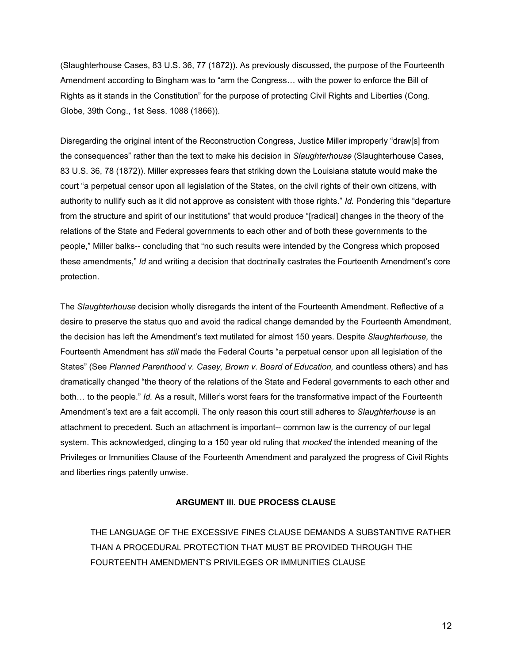(Slaughterhouse Cases, 83 U.S. 36, 77 (1872)). As previously discussed, the purpose of the Fourteenth Amendment according to Bingham was to "arm the Congress… with the power to enforce the Bill of Rights as it stands in the Constitution" for the purpose of protecting Civil Rights and Liberties (Cong. Globe, 39th Cong., 1st Sess. 1088 (1866)).

Disregarding the original intent of the Reconstruction Congress, Justice Miller improperly "draw[s] from the consequences" rather than the text to make his decision in *Slaughterhouse* (Slaughterhouse Cases, 83 U.S. 36, 78 (1872)). Miller expresses fears that striking down the Louisiana statute would make the court "a perpetual censor upon all legislation of the States, on the civil rights of their own citizens, with authority to nullify such as it did not approve as consistent with those rights." *Id.* Pondering this "departure from the structure and spirit of our institutions" that would produce "[radical] changes in the theory of the relations of the State and Federal governments to each other and of both these governments to the people," Miller balks-- concluding that "no such results were intended by the Congress which proposed these amendments," *Id* and writing a decision that doctrinally castrates the Fourteenth Amendment's core protection.

The *Slaughterhouse* decision wholly disregards the intent of the Fourteenth Amendment. Reflective of a desire to preserve the status quo and avoid the radical change demanded by the Fourteenth Amendment, the decision has left the Amendment's text mutilated for almost 150 years. Despite *Slaughterhouse,* the Fourteenth Amendment has *still* made the Federal Courts "a perpetual censor upon all legislation of the States" (See *Planned Parenthood v. Casey, Brown v. Board of Education,* and countless others) and has dramatically changed "the theory of the relations of the State and Federal governments to each other and both… to the people." *Id.* As a result, Miller's worst fears for the transformative impact of the Fourteenth Amendment's text are a fait accompli*.* The only reason this court still adheres to *Slaughterhouse* is an attachment to precedent. Such an attachment is important-- common law is the currency of our legal system. This acknowledged, clinging to a 150 year old ruling that *mocked* the intended meaning of the Privileges or Immunities Clause of the Fourteenth Amendment and paralyzed the progress of Civil Rights and liberties rings patently unwise.

### **ARGUMENT III. DUE PROCESS CLAUSE**

THE LANGUAGE OF THE EXCESSIVE FINES CLAUSE DEMANDS A SUBSTANTIVE RATHER THAN A PROCEDURAL PROTECTION THAT MUST BE PROVIDED THROUGH THE FOURTEENTH AMENDMENT'S PRIVILEGES OR IMMUNITIES CLAUSE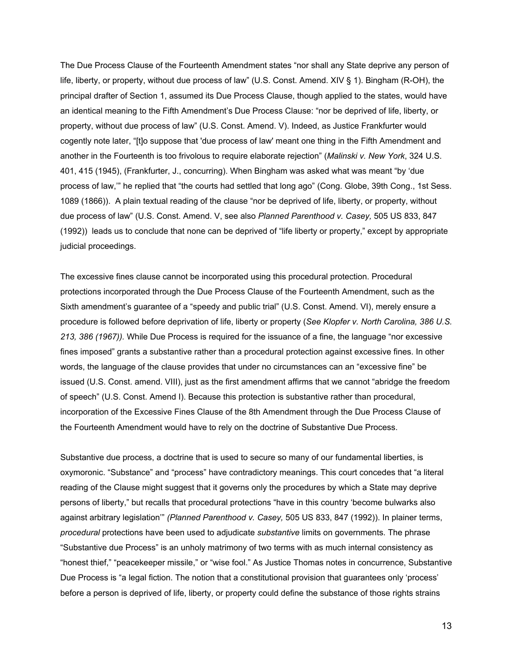The Due Process Clause of the Fourteenth Amendment states "nor shall any State deprive any person of life, liberty, or property, without due process of law" (U.S. Const. Amend. XIV § 1). Bingham (R-OH), the principal drafter of Section 1, assumed its Due Process Clause, though applied to the states, would have an identical meaning to the Fifth Amendment's Due Process Clause: "nor be deprived of life, liberty, or property, without due process of law" (U.S. Const. Amend. V). Indeed, as Justice Frankfurter would cogently note later, "[t]o suppose that 'due process of law' meant one thing in the Fifth Amendment and another in the Fourteenth is too frivolous to require elaborate rejection" (*Malinski v. New York*, 324 U.S. [401,](https://supreme.justia.com/cases/federal/us/324/401/#415) 415 (1945), (Frankfurter, J., concurring). When Bingham was asked what was meant "by 'due process of law,'" he replied that "the courts had settled that long ago" (Cong. Globe, 39th Cong., 1st Sess. 1089 (1866)). A plain textual reading of the clause "nor be deprived of life, liberty, or property, without due process of law" (U.S. Const. Amend. V, see also *Planned Parenthood v. Casey,* 505 US 833, 847 (1992)) leads us to conclude that none can be deprived of "life liberty or property," except by appropriate judicial proceedings.

The excessive fines clause cannot be incorporated using this procedural protection. Procedural protections incorporated through the Due Process Clause of the Fourteenth Amendment, such as the Sixth amendment's guarantee of a "speedy and public trial" (U.S. Const. Amend. VI), merely ensure a procedure is followed before deprivation of life, liberty or property (*See Klopfer v. North Carolina, 386 U.S. 213, 386 (1967)).* While Due Process is required for the issuance of a fine, the language "nor excessive fines imposed" grants a substantive rather than a procedural protection against excessive fines. In other words, the language of the clause provides that under no circumstances can an "excessive fine" be issued (U.S. Const. amend. VIII), just as the first amendment affirms that we cannot "abridge the freedom of speech" (U.S. Const. Amend I). Because this protection is substantive rather than procedural, incorporation of the Excessive Fines Clause of the 8th Amendment through the Due Process Clause of the Fourteenth Amendment would have to rely on the doctrine of Substantive Due Process.

Substantive due process, a doctrine that is used to secure so many of our fundamental liberties, is oxymoronic. "Substance" and "process" have contradictory meanings. This court concedes that "a literal reading of the Clause might suggest that it governs only the procedures by which a State may deprive persons of liberty," but recalls that procedural protections "have in this country 'become bulwarks also against arbitrary legislation'" *(Planned Parenthood v. Casey,* 505 US 833, 847 (1992)). In plainer terms, *procedural* protections have been used to adjudicate *substantive* limits on governments. The phrase "Substantive due Process" is an unholy matrimony of two terms with as much internal consistency as "honest thief," "peacekeeper missile," or "wise fool." As Justice Thomas notes in concurrence, Substantive Due Process is "a legal fiction. The notion that a constitutional provision that guarantees only 'process' before a person is deprived of life, liberty, or property could define the substance of those rights strains